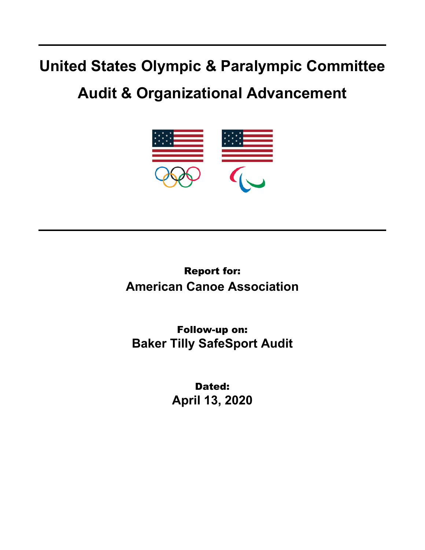## **United States Olympic & Paralympic Committee**

## **Audit & Organizational Advancement**



Report for: **American Canoe Association**

Follow-up on: **Baker Tilly SafeSport Audit**

> Dated: **April 13, 2020**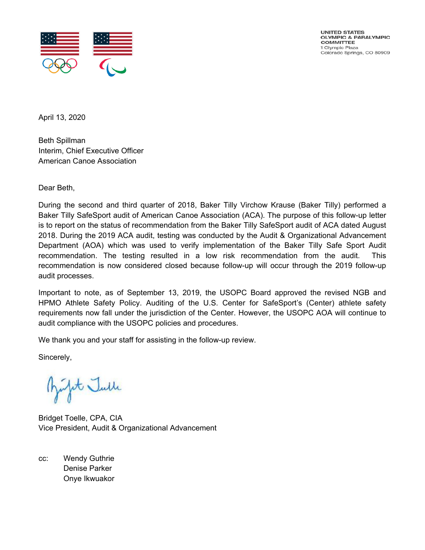

UNITED STATES OLYMPIC & PARALYMPIC **COMMITTEE** 1 Olympic Plaza Colorado Springs, CO 80909

April 13, 2020

Beth Spillman Interim, Chief Executive Officer American Canoe Association

Dear Beth,

During the second and third quarter of 2018, Baker Tilly Virchow Krause (Baker Tilly) performed a Baker Tilly SafeSport audit of American Canoe Association (ACA). The purpose of this follow-up letter is to report on the status of recommendation from the Baker Tilly SafeSport audit of ACA dated August 2018. During the 2019 ACA audit, testing was conducted by the Audit & Organizational Advancement Department (AOA) which was used to verify implementation of the Baker Tilly Safe Sport Audit recommendation. The testing resulted in a low risk recommendation from the audit. This recommendation is now considered closed because follow-up will occur through the 2019 follow-up audit processes.

Important to note, as of September 13, 2019, the USOPC Board approved the revised NGB and HPMO Athlete Safety Policy. Auditing of the U.S. Center for SafeSport's (Center) athlete safety requirements now fall under the jurisdiction of the Center. However, the USOPC AOA will continue to audit compliance with the USOPC policies and procedures.

We thank you and your staff for assisting in the follow-up review.

Sincerely,

Junfit Julle

Bridget Toelle, CPA, CIA Vice President, Audit & Organizational Advancement

cc: Wendy Guthrie Denise Parker Onye Ikwuakor